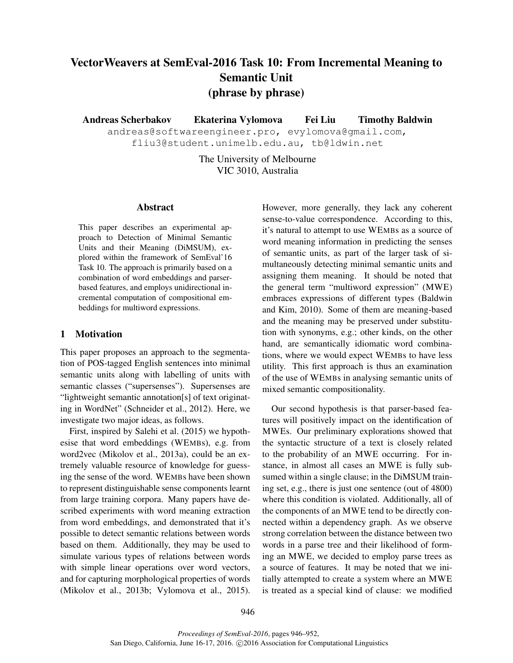# VectorWeavers at SemEval-2016 Task 10: From Incremental Meaning to Semantic Unit (phrase by phrase)

Andreas Scherbakov Ekaterina Vylomova Fei Liu Timothy Baldwin

andreas@softwareengineer.pro, evylomova@gmail.com, fliu3@student.unimelb.edu.au, tb@ldwin.net

> The University of Melbourne VIC 3010, Australia

#### Abstract

This paper describes an experimental approach to Detection of Minimal Semantic Units and their Meaning (DiMSUM), explored within the framework of SemEval'16 Task 10. The approach is primarily based on a combination of word embeddings and parserbased features, and employs unidirectional incremental computation of compositional embeddings for multiword expressions.

# 1 Motivation

This paper proposes an approach to the segmentation of POS-tagged English sentences into minimal semantic units along with labelling of units with semantic classes ("supersenses"). Supersenses are "lightweight semantic annotation[s] of text originating in WordNet" (Schneider et al., 2012). Here, we investigate two major ideas, as follows.

First, inspired by Salehi et al. (2015) we hypothesise that word embeddings (WEMBs), e.g. from word2vec (Mikolov et al., 2013a), could be an extremely valuable resource of knowledge for guessing the sense of the word. WEMBs have been shown to represent distinguishable sense components learnt from large training corpora. Many papers have described experiments with word meaning extraction from word embeddings, and demonstrated that it's possible to detect semantic relations between words based on them. Additionally, they may be used to simulate various types of relations between words with simple linear operations over word vectors, and for capturing morphological properties of words (Mikolov et al., 2013b; Vylomova et al., 2015). However, more generally, they lack any coherent sense-to-value correspondence. According to this, it's natural to attempt to use WEMBs as a source of word meaning information in predicting the senses of semantic units, as part of the larger task of simultaneously detecting minimal semantic units and assigning them meaning. It should be noted that the general term "multiword expression" (MWE) embraces expressions of different types (Baldwin and Kim, 2010). Some of them are meaning-based and the meaning may be preserved under substitution with synonyms, e.g.; other kinds, on the other hand, are semantically idiomatic word combinations, where we would expect WEMBs to have less utility. This first approach is thus an examination of the use of WEMBs in analysing semantic units of mixed semantic compositionality.

Our second hypothesis is that parser-based features will positively impact on the identification of MWEs. Our preliminary explorations showed that the syntactic structure of a text is closely related to the probability of an MWE occurring. For instance, in almost all cases an MWE is fully subsumed within a single clause; in the DiMSUM training set, e.g., there is just one sentence (out of 4800) where this condition is violated. Additionally, all of the components of an MWE tend to be directly connected within a dependency graph. As we observe strong correlation between the distance between two words in a parse tree and their likelihood of forming an MWE, we decided to employ parse trees as a source of features. It may be noted that we initially attempted to create a system where an MWE is treated as a special kind of clause: we modified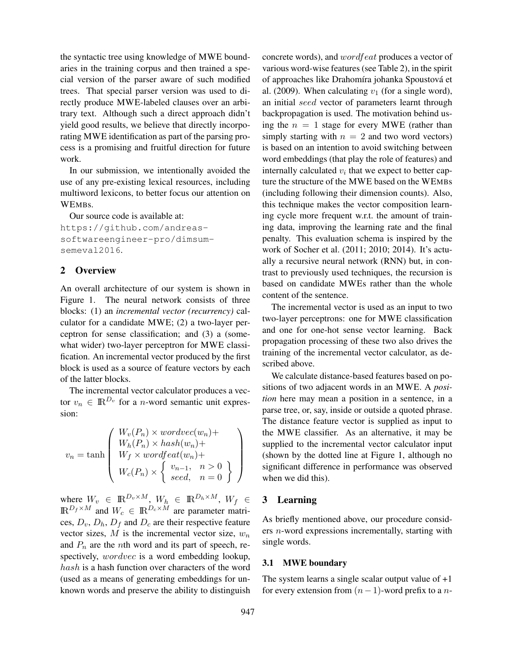the syntactic tree using knowledge of MWE boundaries in the training corpus and then trained a special version of the parser aware of such modified trees. That special parser version was used to directly produce MWE-labeled clauses over an arbitrary text. Although such a direct approach didn't yield good results, we believe that directly incorporating MWE identification as part of the parsing process is a promising and fruitful direction for future work.

In our submission, we intentionally avoided the use of any pre-existing lexical resources, including multiword lexicons, to better focus our attention on WEMBs.

Our source code is available at: https://github.com/andreassoftwareengineer-pro/dimsumsemeval2016.

# 2 Overview

An overall architecture of our system is shown in Figure 1. The neural network consists of three blocks: (1) an *incremental vector (recurrency)* calculator for a candidate MWE; (2) a two-layer perceptron for sense classification; and (3) a (somewhat wider) two-layer perceptron for MWE classification. An incremental vector produced by the first block is used as a source of feature vectors by each of the latter blocks.

The incremental vector calculator produces a vector  $v_n \in \mathbb{R}^{D_v}$  for a *n*-word semantic unit expression:

$$
v_n = \tanh\left(\begin{array}{c} W_v(P_n) \times wordvec(w_n) + \\ W_h(P_n) \times hash(w_n) + \\ W_f \times wordfeat(w_n) + \\ W_c(P_n) \times \left\{ \begin{array}{c} v_{n-1}, \quad n > 0 \\ seed, \quad n = 0 \end{array} \right\} \right)
$$

where  $W_v \in \mathbb{R}^{D_v \times M}$ ,  $W_h \in \mathbb{R}^{D_h \times M}$ ,  $W_f \in$  $\mathbb{R}^{D_f \times M}$  and  $W_c \in \mathbb{R}^{D_c \times M}$  are parameter matrices,  $D_v$ ,  $D_h$ ,  $D_f$  and  $D_c$  are their respective feature vector sizes,  $M$  is the incremental vector size,  $w_n$ and  $P_n$  are the *n*th word and its part of speech, respectively, *wordvec* is a word embedding lookup, hash is a hash function over characters of the word (used as a means of generating embeddings for unknown words and preserve the ability to distinguish concrete words), and wordfeat produces a vector of various word-wise features (see Table 2), in the spirit of approaches like Drahomíra johanka Spoustová et al. (2009). When calculating  $v_1$  (for a single word), an initial seed vector of parameters learnt through backpropagation is used. The motivation behind using the  $n = 1$  stage for every MWE (rather than simply starting with  $n = 2$  and two word vectors) is based on an intention to avoid switching between word embeddings (that play the role of features) and internally calculated  $v_i$  that we expect to better capture the structure of the MWE based on the WEMBs (including following their dimension counts). Also, this technique makes the vector composition learning cycle more frequent w.r.t. the amount of training data, improving the learning rate and the final penalty. This evaluation schema is inspired by the work of Socher et al. (2011; 2010; 2014). It's actually a recursive neural network (RNN) but, in contrast to previously used techniques, the recursion is based on candidate MWEs rather than the whole content of the sentence.

The incremental vector is used as an input to two two-layer perceptrons: one for MWE classification and one for one-hot sense vector learning. Back propagation processing of these two also drives the training of the incremental vector calculator, as described above.

We calculate distance-based features based on positions of two adjacent words in an MWE. A *position* here may mean a position in a sentence, in a parse tree, or, say, inside or outside a quoted phrase. The distance feature vector is supplied as input to the MWE classifier. As an alternative, it may be supplied to the incremental vector calculator input (shown by the dotted line at Figure 1, although no significant difference in performance was observed when we did this).

## 3 Learning

As briefly mentioned above, our procedure considers n-word expressions incrementally, starting with single words.

#### 3.1 MWE boundary

The system learns a single scalar output value of  $+1$ for every extension from  $(n-1)$ -word prefix to a n-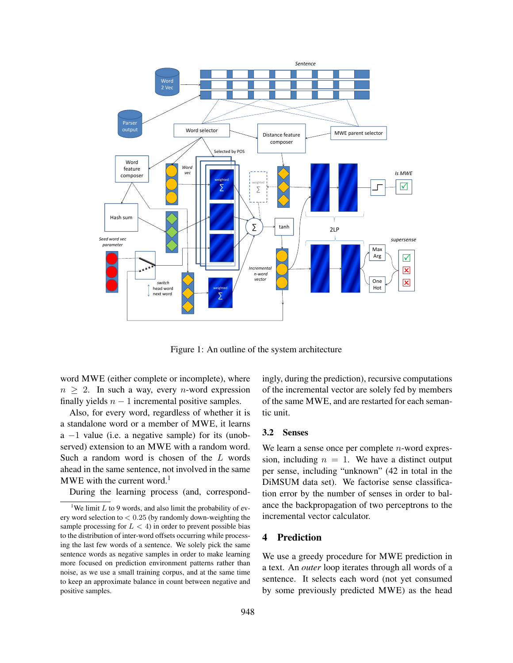

Figure 1: An outline of the system architecture

word MWE (either complete or incomplete), where  $n \geq 2$ . In such a way, every *n*-word expression finally yields  $n - 1$  incremental positive samples.

Also, for every word, regardless of whether it is a standalone word or a member of MWE, it learns a −1 value (i.e. a negative sample) for its (unobserved) extension to an MWE with a random word. Such a random word is chosen of the L words ahead in the same sentence, not involved in the same MWE with the current word.<sup>1</sup>

During the learning process (and, correspond-

ingly, during the prediction), recursive computations of the incremental vector are solely fed by members of the same MWE, and are restarted for each semantic unit.

#### 3.2 Senses

We learn a sense once per complete *n*-word expression, including  $n = 1$ . We have a distinct output per sense, including "unknown" (42 in total in the DiMSUM data set). We factorise sense classification error by the number of senses in order to balance the backpropagation of two perceptrons to the incremental vector calculator.

#### 4 Prediction

We use a greedy procedure for MWE prediction in a text. An *outer* loop iterates through all words of a sentence. It selects each word (not yet consumed by some previously predicted MWE) as the head

<sup>&</sup>lt;sup>1</sup>We limit  $L$  to 9 words, and also limit the probability of every word selection to  $< 0.25$  (by randomly down-weighting the sample processing for  $L < 4$ ) in order to prevent possible bias to the distribution of inter-word offsets occurring while processing the last few words of a sentence. We solely pick the same sentence words as negative samples in order to make learning more focused on prediction environment patterns rather than noise, as we use a small training corpus, and at the same time to keep an approximate balance in count between negative and positive samples.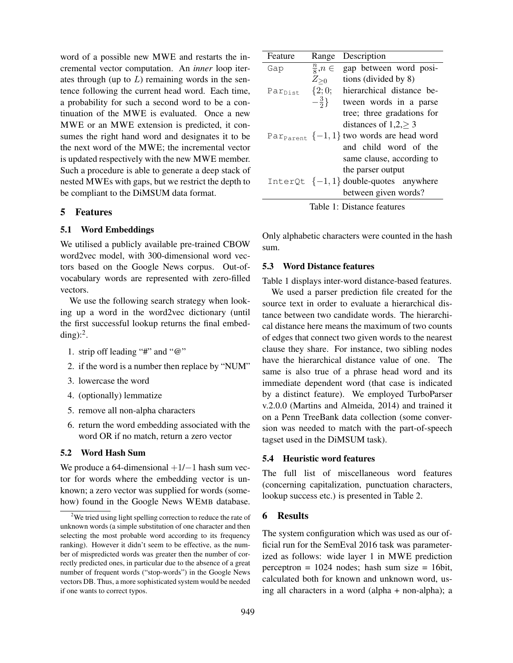word of a possible new MWE and restarts the incremental vector computation. An *inner* loop iterates through (up to  $L$ ) remaining words in the sentence following the current head word. Each time, a probability for such a second word to be a continuation of the MWE is evaluated. Once a new MWE or an MWE extension is predicted, it consumes the right hand word and designates it to be the next word of the MWE; the incremental vector is updated respectively with the new MWE member. Such a procedure is able to generate a deep stack of nested MWEs with gaps, but we restrict the depth to be compliant to the DiMSUM data format.

#### 5 Features

# 5.1 Word Embeddings

We utilised a publicly available pre-trained CBOW word2vec model, with 300-dimensional word vectors based on the Google News corpus. Out-ofvocabulary words are represented with zero-filled vectors.

We use the following search strategy when looking up a word in the word2vec dictionary (until the first successful lookup returns the final embedding): $^2$ .

- 1. strip off leading "#" and "@"
- 2. if the word is a number then replace by "NUM"
- 3. lowercase the word
- 4. (optionally) lemmatize
- 5. remove all non-alpha characters
- 6. return the word embedding associated with the word OR if no match, return a zero vector

#### 5.2 Word Hash Sum

We produce a 64-dimensional  $+1/-1$  hash sum vector for words where the embedding vector is unknown; a zero vector was supplied for words (somehow) found in the Google News WEMB database.

| Feature             | Range                | Description                                              |  |  |  |  |  |
|---------------------|----------------------|----------------------------------------------------------|--|--|--|--|--|
| Gap                 | $\frac{n}{8}, n \in$ | gap between word posi-                                   |  |  |  |  |  |
|                     | $Z_{\geq 0}$         | tions (divided by 8)                                     |  |  |  |  |  |
| Par <sub>Dist</sub> | $\{2;0;$             | hierarchical distance be-                                |  |  |  |  |  |
|                     | $-\frac{3}{2}$ }     | tween words in a parse                                   |  |  |  |  |  |
|                     |                      | tree; three gradations for                               |  |  |  |  |  |
|                     |                      | distances of $1,2,$ > 3                                  |  |  |  |  |  |
|                     |                      | Par <sub>Parent</sub> $\{-1,1\}$ two words are head word |  |  |  |  |  |
|                     |                      | and child word of the                                    |  |  |  |  |  |
|                     |                      | same clause, according to                                |  |  |  |  |  |
|                     |                      | the parser output                                        |  |  |  |  |  |
|                     |                      | InterQt $\{-1,1\}$ double-quotes anywhere                |  |  |  |  |  |
|                     |                      | between given words?                                     |  |  |  |  |  |

Only alphabetic characters were counted in the hash sum.

#### 5.3 Word Distance features

Table 1 displays inter-word distance-based features.

We used a parser prediction file created for the source text in order to evaluate a hierarchical distance between two candidate words. The hierarchical distance here means the maximum of two counts of edges that connect two given words to the nearest clause they share. For instance, two sibling nodes have the hierarchical distance value of one. The same is also true of a phrase head word and its immediate dependent word (that case is indicated by a distinct feature). We employed TurboParser v.2.0.0 (Martins and Almeida, 2014) and trained it on a Penn TreeBank data collection (some conversion was needed to match with the part-of-speech tagset used in the DiMSUM task).

#### 5.4 Heuristic word features

The full list of miscellaneous word features (concerning capitalization, punctuation characters, lookup success etc.) is presented in Table 2.

# 6 Results

The system configuration which was used as our official run for the SemEval 2016 task was parameterized as follows: wide layer 1 in MWE prediction perceptron =  $1024$  nodes; hash sum size =  $16bit$ , calculated both for known and unknown word, using all characters in a word (alpha + non-alpha); a

 $2$ We tried using light spelling correction to reduce the rate of unknown words (a simple substitution of one character and then selecting the most probable word according to its frequency ranking). However it didn't seem to be effective, as the number of mispredicted words was greater then the number of correctly predicted ones, in particular due to the absence of a great number of frequent words ("stop-words") in the Google News vectors DB. Thus, a more sophisticated system would be needed if one wants to correct typos.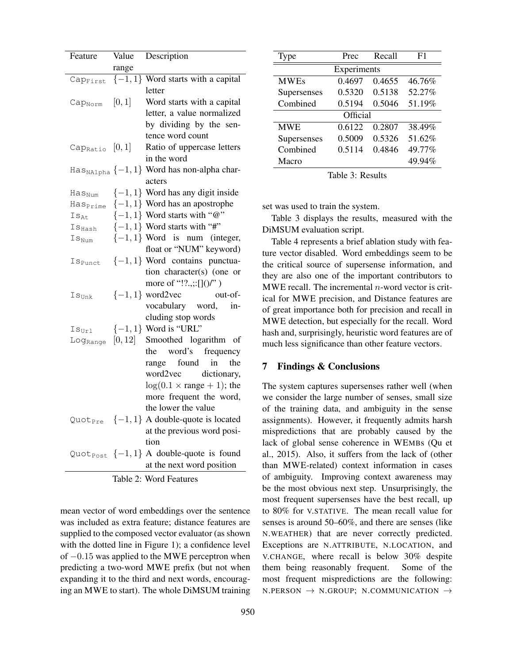| Feature                       | Value   | Description                                                   |  |  |  |  |
|-------------------------------|---------|---------------------------------------------------------------|--|--|--|--|
|                               | range   |                                                               |  |  |  |  |
| Cap <sub>First</sub>          |         | $\{-1, 1\}$ Word starts with a capital                        |  |  |  |  |
|                               |         | letter                                                        |  |  |  |  |
| Cap <sub>Norm</sub>           | [0, 1]  | Word starts with a capital                                    |  |  |  |  |
|                               |         | letter, a value normalized                                    |  |  |  |  |
|                               |         | by dividing by the sen-                                       |  |  |  |  |
|                               |         | tence word count                                              |  |  |  |  |
| Cap <sub>Ratio</sub> $[0,1]$  |         | Ratio of uppercase letters                                    |  |  |  |  |
|                               |         | in the word                                                   |  |  |  |  |
|                               |         | $\text{Has}_{\text{NAlpha}}\{-1,1\}$ Word has non-alpha char- |  |  |  |  |
|                               |         | acters                                                        |  |  |  |  |
| Has <sub>Num</sub>            |         | $\{-1, 1\}$ Word has any digit inside                         |  |  |  |  |
| Has <sub>Prime</sub>          |         | $\{-1,1\}$ Word has an apostrophe                             |  |  |  |  |
| $Is_{\mathsf{At}}$            |         | $\{-1, 1\}$ Word starts with "@"                              |  |  |  |  |
| $\mathtt{Is}_{\mathtt{Hash}}$ |         | $\{-1, 1\}$ Word starts with "#"                              |  |  |  |  |
| $\mathtt{Is}_{\texttt{Num}}$  |         | $\{-1, 1\}$ Word is num (integer,                             |  |  |  |  |
|                               |         | float or "NUM" keyword)                                       |  |  |  |  |
| <b>I</b> S <sub>Punct</sub>   |         | $\{-1, 1\}$ Word contains punctua-                            |  |  |  |  |
|                               |         | tion character(s) (one or                                     |  |  |  |  |
|                               |         | more of "!?.,:: $[](')'$                                      |  |  |  |  |
| $\mathtt{Is}_\mathtt{Unk}$    |         | $\{-1, 1\}$ word2vec<br>out-of-                               |  |  |  |  |
|                               |         | vocabulary word,<br>in-                                       |  |  |  |  |
|                               |         | cluding stop words                                            |  |  |  |  |
| $Is_{Ur1}$                    |         | $\{-1, 1\}$ Word is "URL"                                     |  |  |  |  |
| Log <sub>Range</sub>          | [0, 12] | Smoothed logarithm of                                         |  |  |  |  |
|                               |         | the<br>word's frequency                                       |  |  |  |  |
|                               |         | range found<br>in<br>the                                      |  |  |  |  |
|                               |         | word2vec dictionary,                                          |  |  |  |  |
|                               |         | $log(0.1 \times range + 1)$ ; the                             |  |  |  |  |
|                               |         | more frequent the word,                                       |  |  |  |  |
|                               |         | the lower the value                                           |  |  |  |  |
|                               |         | Quot <sub>Pre</sub> $\{-1,1\}$ A double-quote is located      |  |  |  |  |
|                               |         | at the previous word posi-                                    |  |  |  |  |
|                               |         | tion                                                          |  |  |  |  |
|                               |         | Quot <sub>Post</sub> $\{-1,1\}$ A double-quote is found       |  |  |  |  |
|                               |         | at the next word position                                     |  |  |  |  |
|                               |         | Table 2: Word Features                                        |  |  |  |  |

mean vector of word embeddings over the sentence was included as extra feature; distance features are supplied to the composed vector evaluator (as shown with the dotted line in Figure 1); a confidence level of −0.15 was applied to the MWE perceptron when predicting a two-word MWE prefix (but not when expanding it to the third and next words, encouraging an MWE to start). The whole DiMSUM training

| <b>Type</b> | Prec   | Recall | F1     |  |  |  |
|-------------|--------|--------|--------|--|--|--|
| Experiments |        |        |        |  |  |  |
| <b>MWEs</b> | 0.4697 | 0.4655 | 46.76% |  |  |  |
| Supersenses | 0.5320 | 0.5138 | 52.27% |  |  |  |
| Combined    | 0.5194 | 0.5046 | 51.19% |  |  |  |
| Official    |        |        |        |  |  |  |
| <b>MWE</b>  | 0.6122 | 0.2807 | 38.49% |  |  |  |
| Supersenses | 0.5009 | 0.5326 | 51.62% |  |  |  |
| Combined    | 0.5114 | 0.4846 | 49.77% |  |  |  |
| Macro       |        |        | 49.94% |  |  |  |

|  |  | Table 3: Results |
|--|--|------------------|
|--|--|------------------|

set was used to train the system.

Table 3 displays the results, measured with the DiMSUM evaluation script.

Table 4 represents a brief ablation study with feature vector disabled. Word embeddings seem to be the critical source of supersense information, and they are also one of the important contributors to MWE recall. The incremental  $n$ -word vector is critical for MWE precision, and Distance features are of great importance both for precision and recall in MWE detection, but especially for the recall. Word hash and, surprisingly, heuristic word features are of much less significance than other feature vectors.

## 7 Findings & Conclusions

The system captures supersenses rather well (when we consider the large number of senses, small size of the training data, and ambiguity in the sense assignments). However, it frequently admits harsh mispredictions that are probably caused by the lack of global sense coherence in WEMBs (Qu et al., 2015). Also, it suffers from the lack of (other than MWE-related) context information in cases of ambiguity. Improving context awareness may be the most obvious next step. Unsurprisingly, the most frequent supersenses have the best recall, up to 80% for V.STATIVE. The mean recall value for senses is around 50–60%, and there are senses (like N.WEATHER) that are never correctly predicted. Exceptions are N.ATTRIBUTE, N.LOCATION, and V.CHANGE, where recall is below 30% despite them being reasonably frequent. Some of the most frequent mispredictions are the following: N.PERSON  $\rightarrow$  N.GROUP; N.COMMUNICATION  $\rightarrow$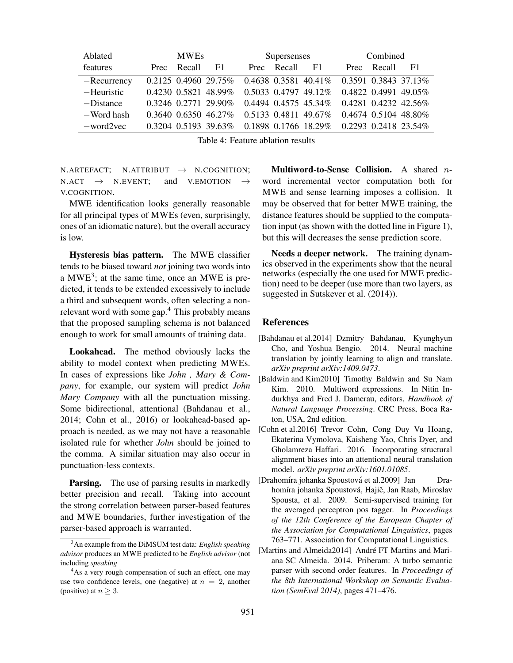| Ablated        | <b>MWEs</b> |             | Supersenses                 |  |             | Combined                                                |  |             |    |
|----------------|-------------|-------------|-----------------------------|--|-------------|---------------------------------------------------------|--|-------------|----|
| features       |             | Prec Recall | F1                          |  | Prec Recall | F1                                                      |  | Prec Recall | F1 |
| $-$ Recurrency |             |             | $0.2125$ 0.4960 29.75%      |  |             | $0.4638$ $0.3581$ $40.41\%$ $0.3591$ $0.3843$ $37.13\%$ |  |             |    |
| -Heuristic     |             |             | $0.4230$ $0.5821$ 48.99%    |  |             | $0.5033$ $0.4797$ $49.12\%$ $0.4822$ $0.4991$ $49.05\%$ |  |             |    |
| $-Distance$    |             |             | $0.3246$ $0.2771$ $29.90\%$ |  |             | $0.4494$ $0.4575$ $45.34\%$ $0.4281$ $0.4232$ $42.56\%$ |  |             |    |
| -Word hash     |             |             | $0.3640$ $0.6350$ $46.27\%$ |  |             | $0.5133$ $0.4811$ $49.67\%$ $0.4674$ $0.5104$ $48.80\%$ |  |             |    |
| $-word2vec$    |             |             | $0.3204$ $0.5193$ $39.63\%$ |  |             | 0.1898 0.1766 18.29% 0.2293 0.2418 23.54%               |  |             |    |
|                |             |             |                             |  |             |                                                         |  |             |    |

Table 4: Feature ablation results

N.ARTEFACT; N.ATTRIBUT  $\rightarrow$  N.COGNITION;<br>N.ACT  $\rightarrow$  N.EVENT: and V.EMOTION  $\rightarrow$  $N.$ ACT  $\rightarrow$  N.EVENT; and V.EMOTION  $\rightarrow$ V.COGNITION.

MWE identification looks generally reasonable for all principal types of MWEs (even, surprisingly, ones of an idiomatic nature), but the overall accuracy is low.

Hysteresis bias pattern. The MWE classifier tends to be biased toward *not* joining two words into a  $MWE<sup>3</sup>$ ; at the same time, once an MWE is predicted, it tends to be extended excessively to include a third and subsequent words, often selecting a nonrelevant word with some gap.<sup>4</sup> This probably means that the proposed sampling schema is not balanced enough to work for small amounts of training data.

Lookahead. The method obviously lacks the ability to model context when predicting MWEs. In cases of expressions like *John , Mary & Company*, for example, our system will predict *John Mary Company* with all the punctuation missing. Some bidirectional, attentional (Bahdanau et al., 2014; Cohn et al., 2016) or lookahead-based approach is needed, as we may not have a reasonable isolated rule for whether *John* should be joined to the comma. A similar situation may also occur in punctuation-less contexts.

**Parsing.** The use of parsing results in markedly better precision and recall. Taking into account the strong correlation between parser-based features and MWE boundaries, further investigation of the parser-based approach is warranted.

Multiword-to-Sense Collision. A shared  $n$ word incremental vector computation both for MWE and sense learning imposes a collision. It may be observed that for better MWE training, the distance features should be supplied to the computation input (as shown with the dotted line in Figure 1), but this will decreases the sense prediction score.

Needs a deeper network. The training dynamics observed in the experiments show that the neural networks (especially the one used for MWE prediction) need to be deeper (use more than two layers, as suggested in Sutskever et al. (2014)).

#### References

- [Bahdanau et al.2014] Dzmitry Bahdanau, Kyunghyun Cho, and Yoshua Bengio. 2014. Neural machine translation by jointly learning to align and translate. *arXiv preprint arXiv:1409.0473*.
- [Baldwin and Kim2010] Timothy Baldwin and Su Nam Kim. 2010. Multiword expressions. In Nitin Indurkhya and Fred J. Damerau, editors, *Handbook of Natural Language Processing*. CRC Press, Boca Raton, USA, 2nd edition.
- [Cohn et al.2016] Trevor Cohn, Cong Duy Vu Hoang, Ekaterina Vymolova, Kaisheng Yao, Chris Dyer, and Gholamreza Haffari. 2016. Incorporating structural alignment biases into an attentional neural translation model. *arXiv preprint arXiv:1601.01085*.
- [Drahomíra johanka Spoustová et al. 2009] Jan Drahomíra johanka Spoustová, Hajič, Jan Raab, Miroslav Spousta, et al. 2009. Semi-supervised training for the averaged perceptron pos tagger. In *Proceedings of the 12th Conference of the European Chapter of the Association for Computational Linguistics*, pages 763–771. Association for Computational Linguistics.
- [Martins and Almeida2014] André FT Martins and Mariana SC Almeida. 2014. Priberam: A turbo semantic parser with second order features. In *Proceedings of the 8th International Workshop on Semantic Evaluation (SemEval 2014)*, pages 471–476.

<sup>3</sup>An example from the DiMSUM test data: *English speaking advisor* produces an MWE predicted to be *English advisor* (not including *speaking*

<sup>&</sup>lt;sup>4</sup>As a very rough compensation of such an effect, one may use two confidence levels, one (negative) at  $n = 2$ , another (positive) at  $n \geq 3$ .